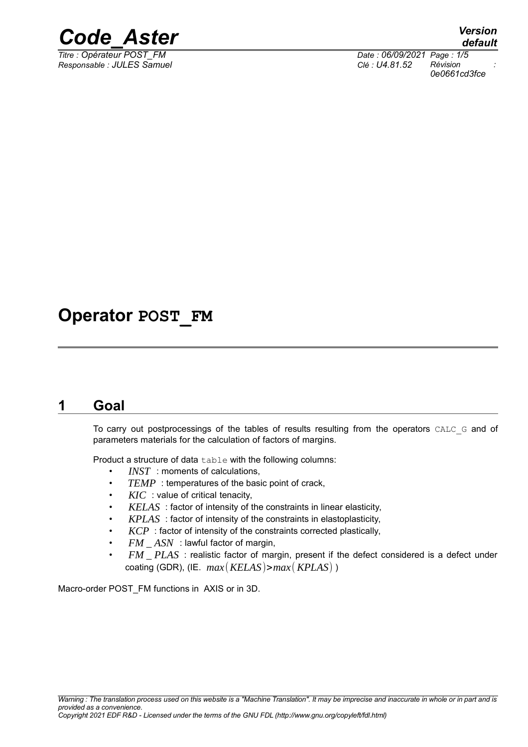

*Responsable : JULES Samuel Clé : U4.81.52 Révision :*

*Titre : Opérateur POST\_FM Date : 06/09/2021 Page : 1/5 0e0661cd3fce*

### **Operator POST\_FM**

#### **1 Goal**

To carry out postprocessings of the tables of results resulting from the operators CALC G and of parameters materials for the calculation of factors of margins.

Product a structure of data table with the following columns:

- *INST* : moments of calculations,
- *TEMP* : temperatures of the basic point of crack,
- *KIC* : value of critical tenacity,
- *KELAS* : factor of intensity of the constraints in linear elasticity,
- *KPLAS* : factor of intensity of the constraints in elastoplasticity,
- *KCP* : factor of intensity of the constraints corrected plastically,
- *FM* \_ *ASN* : lawful factor of margin,
- *FM* \_ *PLAS* : realistic factor of margin, present if the defect considered is a defect under coating (GDR), (IE. *max*(*KELAS*)>*max*(*KPLAS*) )

Macro-order POST\_FM functions in AXIS or in 3D.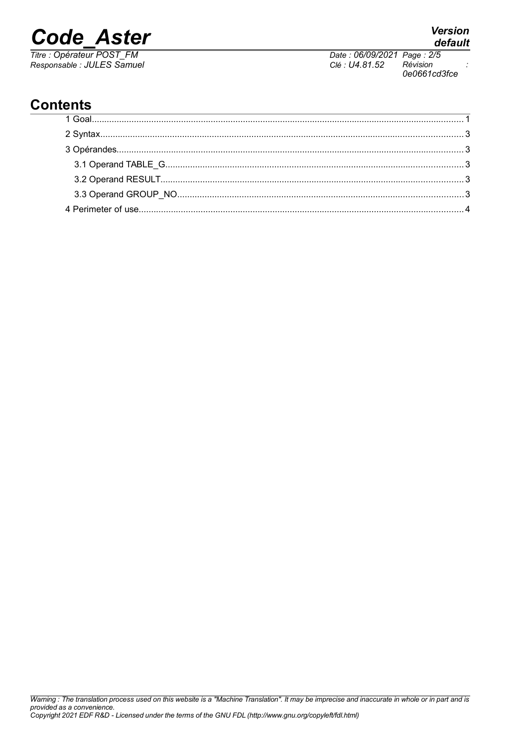# *Code\_Aster Version*

*Titre : Opérateur POST\_FM Date : 06/09/2021 Page : 2/5 Responsable : JULES Samuel Clé : U4.81.52 Révision :*

*Warning : The translation process used on this website is a "Machine Translation". It may be imprecise and inaccurate in whole or in part and is*

#### **Contents**

*0e0661cd3fce*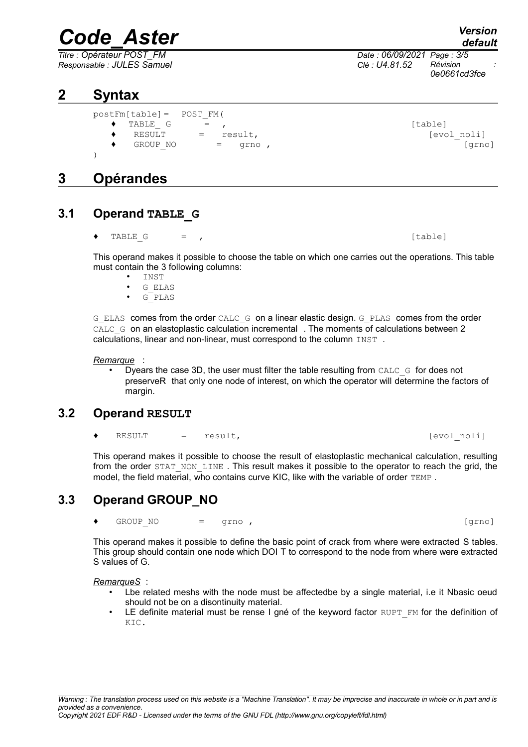## *Code\_Aster Version*

*Titre : Opérateur POST\_FM Date : 06/09/2021 Page : 3/5 Responsable : JULES Samuel Clé : U4.81.52 Révision :*

#### **2 Syntax**

postFm[table]= POST\_FM(

- $\begin{array}{ccc} \bullet & \text{TABLE} & G & = & \bullet \end{array}$
- ◆ RESULT = result, in the set of the set of the set of the set of the set of the set of the set of the set of the set of the set of the set of the set of the set of the set of the set of the set of the set of the set of t
- $\begin{array}{ccccccc} \text{GROUP} & \text{NO} & = & \text{grno} & \text{O} & \text{O} & \text{O} \end{array}$
- )

#### **3 Opérandes**

#### **3.1 Operand TABLE\_G**

 $[table] \centering \begin{minipage}{0.9\linewidth} \textbf{TABLE G} & = & \textbf{,} \end{minipage} \vspace{0.05in} \begin{minipage}{0.9\linewidth} \begin{minipage}{0.9\linewidth} \textbf{Table} & \textbf{.} \end{minipage} \vspace{0.05in} \begin{minipage}{0.9\linewidth} \textbf{Table} & \textbf{.} \end{minipage} \vspace{0.05in} \begin{minipage}{0.9\linewidth} \textbf{Table} & \textbf{.} \end{minipage} \vspace{0.05in} \begin{minipage}{0.9\linewidth} \textbf{Table} & \textbf{.}$ 

This operand makes it possible to choose the table on which one carries out the operations. This table must contain the 3 following columns:

- INST
- G\_ELAS<br>• G\_PLAS
- G\_PLAS

G\_ELAS comes from the order CALC\_G on a linear elastic design. G\_PLAS comes from the order CALC G on an elastoplastic calculation incremental . The moments of calculations between 2 calculations, linear and non-linear, must correspond to the column INST .

*Remarque* :

Dyears the case 3D, the user must filter the table resulting from CALC  $\,G\,$  for does not preserveR that only one node of interest, on which the operator will determine the factors of margin.

#### **3.2 Operand RESULT**

RESULT = result,  $[evol\;noli]$ 

This operand makes it possible to choose the result of elastoplastic mechanical calculation, resulting from the order STAT\_NON\_LINE. This result makes it possible to the operator to reach the grid, the model, the field material, who contains curve KIC, like with the variable of order TEMP.

#### **3.3 Operand GROUP\_NO**

♦ GROUP\_NO = grno , [grno]

This operand makes it possible to define the basic point of crack from where were extracted S tables. This group should contain one node which DOI T to correspond to the node from where were extracted S values of G.

*RemarqueS* :

- Lbe related meshs with the node must be affectedbe by a single material, i.e it Nbasic oeud should not be on a disontinuity material.
- LE definite material must be rense I gné of the keyword factor  $R\text{UPT}$  FM for the definition of KIC.

*default*

*0e0661cd3fce*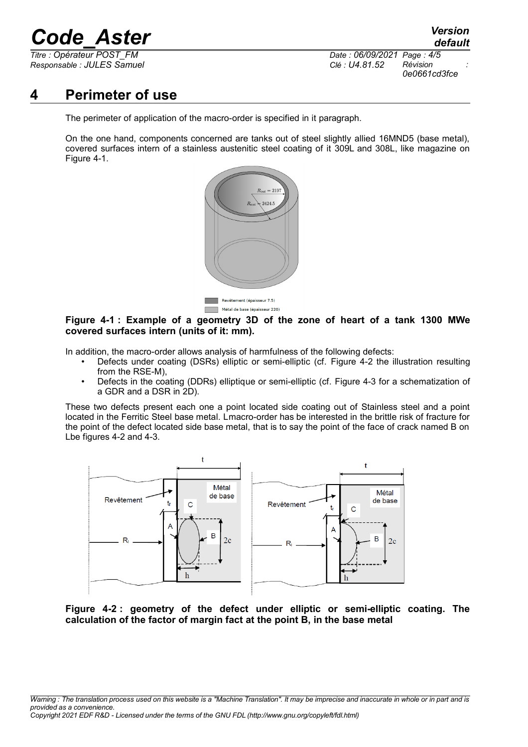## *Code\_Aster Version*

*Responsable : JULES Samuel Clé : U4.81.52 Révision :*

*Titre : Opérateur POST\_FM Date : 06/09/2021 Page : 4/5 0e0661cd3fce*

#### **4 Perimeter of use**

The perimeter of application of the macro-order is specified in it paragraph.

On the one hand, components concerned are tanks out of steel slightly allied 16MND5 (base metal), covered surfaces intern of a stainless austenitic steel coating of it 309L and 308L, like magazine on [Figure 4-1.](#page-3-0)



<span id="page-3-0"></span>**Figure 4-1 : Example of a geometry 3D of the zone of heart of a tank 1300 MWe covered surfaces intern (units of it: mm).**

In addition, the macro-order allows analysis of harmfulness of the following defects:

- Defects under coating (DSRs) elliptic or semi-elliptic (cf. [Figure 4-2](#page-3-2) the illustration resulting from the RSE-M),
- Defects in the coating (DDRs) elliptique or semi-elliptic (cf. [Figure 4-3](#page-4-1) for a schematization of a GDR and a DSR in 2D).

These two defects present each one a point located side coating out of Stainless steel and a point located in the Ferritic Steel base metal. Lmacro-order has be interested in the brittle risk of fracture for the point of the defect located side base metal, that is to say the point of the face of crack named B on Lbe figures [4-2](#page-3-1) and [4-3.](#page-4-0)



<span id="page-3-2"></span><span id="page-3-1"></span>**Figure 4-2 : geometry of the defect under elliptic or semi-elliptic coating. The calculation of the factor of margin fact at the point B, in the base metal**